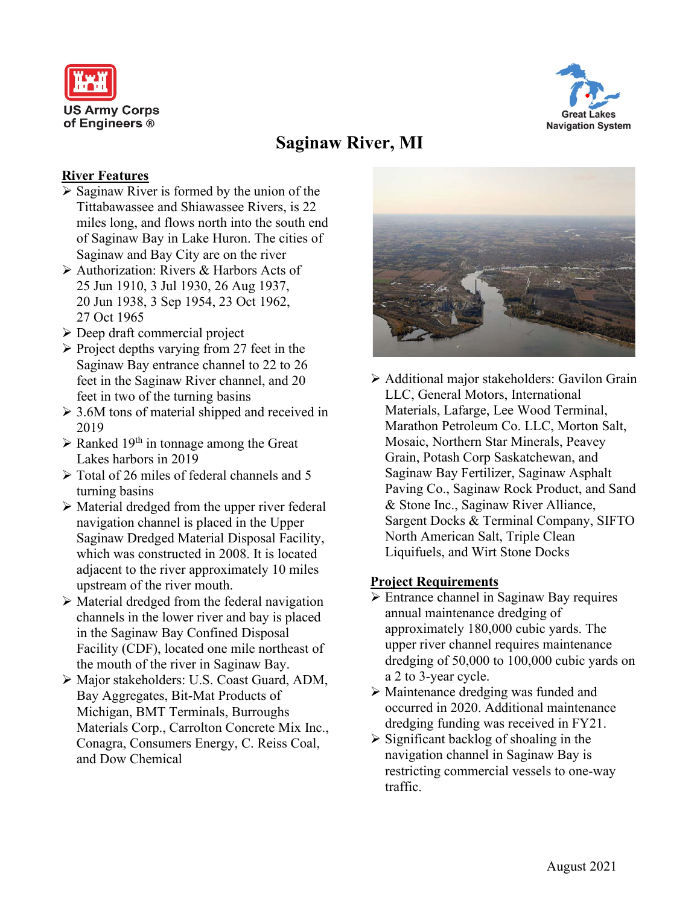



# **Saginaw River, MI**

### **River Features**

- $\triangleright$  Saginaw River is formed by the union of the Tittabawassee and Shiawassee Rivers, is 22 miles long, and flows north into the south end of Saginaw Bay in Lake Huron. The cities of Saginaw and Bay City are on the river
- Authorization: Rivers & Harbors Acts of 25 Jun 1910, 3 Jul 1930, 26 Aug 1937, 20 Jun 1938, 3 Sep 1954, 23 Oct 1962, 27 Oct 1965
- Deep draft commercial project
- $\triangleright$  Project depths varying from 27 feet in the Saginaw Bay entrance channel to 22 to 26 feet in the Saginaw River channel, and 20 feet in two of the turning basins
- $\geq 3.6M$  tons of material shipped and received in 2019
- $\triangleright$  Ranked 19<sup>th</sup> in tonnage among the Great Lakes harbors in 2019
- $\triangleright$  Total of 26 miles of federal channels and 5 turning basins
- $\triangleright$  Material dredged from the upper river federal navigation channel is placed in the Upper Saginaw Dredged Material Disposal Facility, which was constructed in 2008. It is located adjacent to the river approximately 10 miles upstream of the river mouth.
- $\triangleright$  Material dredged from the federal navigation channels in the lower river and bay is placed in the Saginaw Bay Confined Disposal Facility (CDF), located one mile northeast of the mouth of the river in Saginaw Bay.
- Major stakeholders: U.S. Coast Guard, ADM, Bay Aggregates, Bit-Mat Products of Michigan, BMT Terminals, Burroughs Materials Corp., Carrolton Concrete Mix Inc., Conagra, Consumers Energy, C. Reiss Coal, and Dow Chemical



 Additional major stakeholders: Gavilon Grain LLC, General Motors, International Materials, Lafarge, Lee Wood Terminal, Marathon Petroleum Co. LLC, Morton Salt, Mosaic, Northern Star Minerals, Peavey Grain, Potash Corp Saskatchewan, and Saginaw Bay Fertilizer, Saginaw Asphalt Paving Co., Saginaw Rock Product, and Sand & Stone Inc., Saginaw River Alliance, Sargent Docks & Terminal Company, SIFTO North American Salt, Triple Clean Liquifuels, and Wirt Stone Docks

### **Project Requirements**

- **Entrance channel in Saginaw Bay requires** annual maintenance dredging of approximately 180,000 cubic yards. The upper river channel requires maintenance dredging of 50,000 to 100,000 cubic yards on a 2 to 3-year cycle.
- $\triangleright$  Maintenance dredging was funded and occurred in 2020. Additional maintenance dredging funding was received in FY21.
- $\triangleright$  Significant backlog of shoaling in the navigation channel in Saginaw Bay is restricting commercial vessels to one-way traffic.